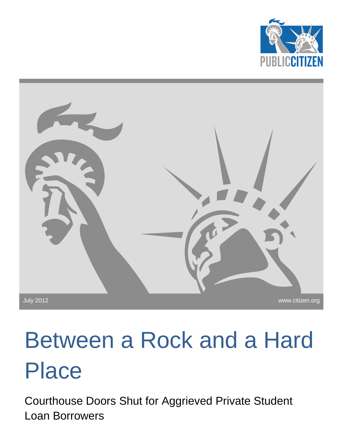



# Between a Rock and a Hard Place

Courthouse Doors Shut for Aggrieved Private Student Loan Borrowers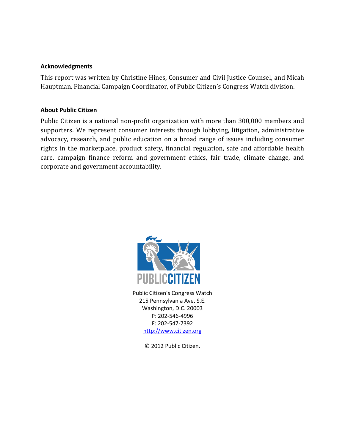#### **Acknowledgments**

This report was written by Christine Hines, Consumer and Civil Justice Counsel, and Micah Hauptman, Financial Campaign Coordinator, of Public Citizen's Congress Watch division.

#### **About Public Citizen**

Public Citizen is a national non-profit organization with more than 300,000 members and supporters. We represent consumer interests through lobbying, litigation, administrative advocacy, research, and public education on a broad range of issues including consumer rights in the marketplace, product safety, financial regulation, safe and affordable health care, campaign finance reform and government ethics, fair trade, climate change, and corporate and government accountability.



Public Citizen's Congress Watch 215 Pennsylvania Ave. S.E. Washington, D.C. 20003 P: 202-546-4996 F: 202-547-7392 [http://www.citizen.org](http://www.citizen.org/)

© 2012 Public Citizen.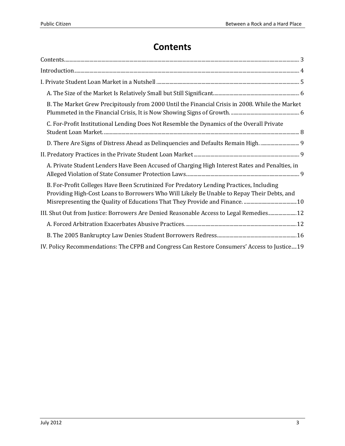# **Contents**

<span id="page-2-0"></span>

| B. The Market Grew Precipitously from 2000 Until the Financial Crisis in 2008. While the Market                                                                                       |
|---------------------------------------------------------------------------------------------------------------------------------------------------------------------------------------|
| C. For-Profit Institutional Lending Does Not Resemble the Dynamics of the Overall Private                                                                                             |
| D. There Are Signs of Distress Ahead as Delinquencies and Defaults Remain High.                                                                                                       |
|                                                                                                                                                                                       |
| A. Private Student Lenders Have Been Accused of Charging High Interest Rates and Penalties, in                                                                                        |
| B. For-Profit Colleges Have Been Scrutinized For Predatory Lending Practices, Including<br>Providing High-Cost Loans to Borrowers Who Will Likely Be Unable to Repay Their Debts, and |
| III. Shut Out from Justice: Borrowers Are Denied Reasonable Access to Legal Remedies 12                                                                                               |
|                                                                                                                                                                                       |
|                                                                                                                                                                                       |
| IV. Policy Recommendations: The CFPB and Congress Can Restore Consumers' Access to Justice 19                                                                                         |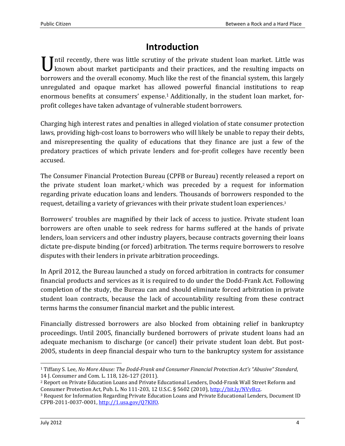# **Introduction**

<span id="page-3-0"></span>Until recently, there was little scrutiny of the private student loan market. Little was known about market participants and their practices, and the resulting impacts on known about market participants and their practices, and the resulting impacts on borrowers and the overall economy. Much like the rest of the financial system, this largely unregulated and opaque market has allowed powerful financial institutions to reap enormous benefits at consumers' expense.<sup>1</sup> Additionally, in the student loan market, forprofit colleges have taken advantage of vulnerable student borrowers.

Charging high interest rates and penalties in alleged violation of state consumer protection laws, providing high-cost loans to borrowers who will likely be unable to repay their debts, and misrepresenting the quality of educations that they finance are just a few of the predatory practices of which private lenders and for-profit colleges have recently been accused.

The Consumer Financial Protection Bureau (CPFB or Bureau) recently released a report on the private student loan market, <sup>2</sup> which was preceded by a request for information regarding private education loans and lenders. Thousands of borrowers responded to the request, detailing a variety of grievances with their private student loan experiences. 3

Borrowers' troubles are magnified by their lack of access to justice. Private student loan borrowers are often unable to seek redress for harms suffered at the hands of private lenders, loan servicers and other industry players, because contracts governing their loans dictate pre-dispute binding (or forced) arbitration. The terms require borrowers to resolve disputes with their lenders in private arbitration proceedings.

In April 2012, the Bureau launched a study on forced arbitration in contracts for consumer financial products and services as it is required to do under the Dodd-Frank Act. Following completion of the study, the Bureau can and should eliminate forced arbitration in private student loan contracts, because the lack of accountability resulting from these contract terms harms the consumer financial market and the public interest.

Financially distressed borrowers are also blocked from obtaining relief in bankruptcy proceedings. Until 2005, financially burdened borrowers of private student loans had an adequate mechanism to discharge (or cancel) their private student loan debt. But post-2005, students in deep financial despair who turn to the bankruptcy system for assistance

 $\overline{a}$ <sup>1</sup> Tiffany S. Lee, *No More Abuse: The Dodd-Frank and Consumer Financial Protection Act's "Abusive" Standard*, 14 J. Consumer and Com. L. 118, 126-127 (2011).

<sup>2</sup> Report on Private Education Loans and Private Educational Lenders, Dodd-Frank Wall Street Reform and Consumer Protection Act, Pub. L. No 111-203, 12 U.S.C. § 5602 (2010), [http://bit.ly/NVvBcz.](http://bit.ly/NVvBcz) 

<sup>3</sup> Request for Information Regarding Private Education Loans and Private Educational Lenders, Document ID CFPB-2011-0037-0001[, http://1.usa.gov/Q7KlfO.](http://1.usa.gov/Q7KlfO)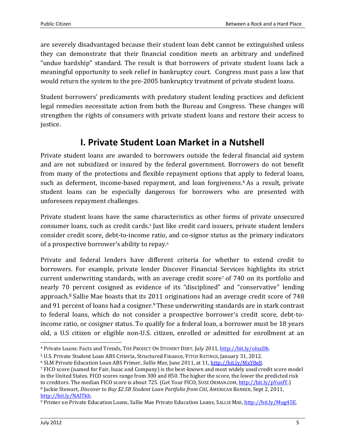are severely disadvantaged because their student loan debt cannot be extinguished unless they can demonstrate that their financial condition meets an arbitrary and undefined "undue hardship" standard. The result is that borrowers of private student loans lack a meaningful opportunity to seek relief in bankruptcy court. Congress must pass a law that would return the system to the pre-2005 bankruptcy treatment of private student loans.

Student borrowers' predicaments with predatory student lending practices and deficient legal remedies necessitate action from both the Bureau and Congress. These changes will strengthen the rights of consumers with private student loans and restore their access to justice.

# **I. Private Student Loan Market in a Nutshell**

<span id="page-4-0"></span>Private student loans are awarded to borrowers outside the federal financial aid system and are not subsidized or insured by the federal government. Borrowers do not benefit from many of the protections and flexible repayment options that apply to federal loans, such as deferment, income-based repayment, and loan forgiveness.<sup>4</sup> As a result, private student loans can be especially dangerous for borrowers who are presented with unforeseen repayment challenges.

Private student loans have the same characteristics as other forms of private unsecured consumer loans, such as credit cards.<sup>5</sup> Just like credit card issuers, private student lenders consider credit score, debt-to-income ratio, and co-signor status as the primary indicators of a prospective borrower's ability to repay.<sup>6</sup>

Private and federal lenders have different criteria for whether to extend credit to borrowers. For example, private lender Discover Financial Services highlights its strict current underwriting standards, with an average credit score<sup>7</sup> of 740 on its portfolio and nearly 70 percent cosigned as evidence of its "disciplined" and "conservative" lending approach. <sup>8</sup> Sallie Mae boasts that its 2011 originations had an average credit score of 748 and 91 percent of loans had a cosigner.<sup>9</sup> These underwriting standards are in stark contrast to federal loans, which do not consider a prospective borrower's credit score, debt-toincome ratio, or cosigner status. To qualify for a federal loan, a borrower must be 18 years old, a U.S citizen or eligible non-U.S. citizen, enrolled or admitted for enrollment at an

<sup>4</sup> Private Loans: Facts and Trends, THE PROJECT ON STUDENT DEBT, July 2011[, http://bit.ly/oIxzDh.](http://bit.ly/oIxzDh) 

<sup>5</sup> U.S. Private Student Loan ABS Criteria, Structured Finance, FITCH RATINGS, January 31, 2012.

<sup>6</sup> SLM Private Education Loan ABS Primer, *Sallie Mae*, June 2011, at 11, [http://bit.ly/MxY8e8.](http://bit.ly/MxY8e8) 

<sup>7</sup> FICO score (named for Fair, Isaac and Company) is the best-known and most widely used credit score model in the United States. FICO scores range from 300 and 850. The higher the score, the lower the predicted risk to creditors. The median FICO score is about 725. (Get Your FICO, SUZE ORMAN.COM, [http://bit.ly/pYuxfY.\)](http://bit.ly/pYuxfY) <sup>8</sup> Jackie Stewart, *Discover to Buy \$2.5B Student Loan Portfolio from Citi*, AMERICAN BANKER, Sept 2, 2011, [http://bit.ly/NAlTkh.](http://bit.ly/NAlTkh)

<sup>9</sup> Primer on Private Education Loans, Sallie Mae Private Education Loans, SALLIE MAE, http://bit.ly/Mug45E.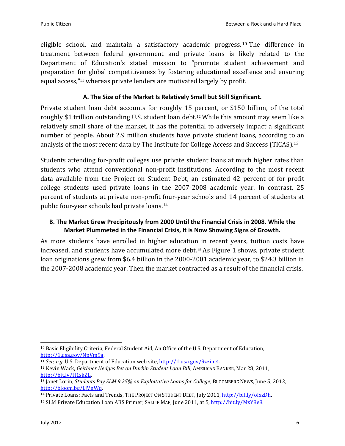eligible school, and maintain a satisfactory academic progress. <sup>10</sup> The difference in treatment between federal government and private loans is likely related to the Department of Education's stated mission to "promote student achievement and preparation for global competitiveness by fostering educational excellence and ensuring equal access,"<sup>11</sup> whereas private lenders are motivated largely by profit.

#### **A. The Size of the Market Is Relatively Small but Still Significant.**

<span id="page-5-0"></span>Private student loan debt accounts for roughly 15 percent, or \$150 billion, of the total roughly \$1 trillion outstanding U.S. student loan debt.<sup>12</sup> While this amount may seem like a relatively small share of the market, it has the potential to adversely impact a significant number of people. About 2.9 million students have private student loans, according to an analysis of the most recent data by The Institute for College Access and Success (TICAS). 13

Students attending for-profit colleges use private student loans at much higher rates than students who attend conventional non-profit institutions. According to the most recent data available from the Project on Student Debt, an estimated 42 percent of for-profit college students used private loans in the 2007-2008 academic year. In contrast, 25 percent of students at private non-profit four-year schools and 14 percent of students at public four-year schools had private loans.<sup>14</sup>

#### <span id="page-5-1"></span>**B. The Market Grew Precipitously from 2000 Until the Financial Crisis in 2008. While the Market Plummeted in the Financial Crisis, It is Now Showing Signs of Growth.**

As more students have enrolled in higher education in recent years, tuition costs have increased, and students have accumulated more debt.<sup>15</sup> As Figure 1 shows, private student loan originations grew from \$6.4 billion in the 2000-2001 academic year, to \$24.3 billion in the 2007-2008 academic year. Then the market contracted as a result of the financial crisis.

<sup>10</sup> Basic Eligibility Criteria, Federal Student Aid, An Office of the U.S. Department of Education, [http://1.usa.gov/NpVm9a.](http://1.usa.gov/NpVm9a)

<sup>11</sup> *See, e.g.* U.S. Department of Education web site, [http://1.usa.gov/9zzim4.](http://1.usa.gov/9zzim4)

<sup>12</sup> Kevin Wack, *Geithner Hedges Bet on Durbin Student Loan Bill*, AMERICAN BANKER, Mar 28, 2011, [http://bit.ly/H1skZL.](http://bit.ly/H1skZL) 

<sup>13</sup> Janet Lorin, *Students Pay SLM 9.25% on Exploitative Loans for College*, BLOOMBERG NEWS, June 5, 2012, [http://bloom.bg/LjVnWq.](http://bloom.bg/LjVnWq)

<sup>14</sup> Private Loans: Facts and Trends, THE PROJECT ON STUDENT DEBT, July 2011[, http://bit.ly/oIxzDh.](http://bit.ly/oIxzDh)

<sup>&</sup>lt;sup>15</sup> SLM Private Education Loan ABS Primer, SALLIE MAE, June 2011, at 5, [http://bit.ly/MxY8e8.](http://bit.ly/MxY8e8)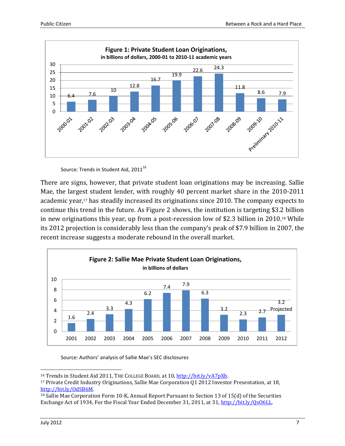

Source: Trends in Student Aid, 2011<sup>16</sup>

There are signs, however, that private student loan originations may be increasing. Sallie Mae, the largest student lender, with roughly 40 percent market share in the 2010-2011 academic year,<sup>17</sup> has steadily increased its originations since 2010. The company expects to continue this trend in the future. As Figure 2 shows, the institution is targeting \$3.2 billion in new originations this year, up from a post-recession low of \$2.3 billion in 2010. <sup>18</sup> While its 2012 projection is considerably less than the company's peak of \$7.9 billion in 2007, the recent increase suggests a moderate rebound in the overall market.



Source: Authors' analysis of Sallie Mae's SEC disclosures

<sup>&</sup>lt;sup>16</sup> Trends in Student Aid 2011, THE COLLEGE BOARD, at 10, http://bit.ly/vA7pXb.

<sup>17</sup> Private Credit Industry Originations, Sallie Mae Corporation Q1 2012 Investor Presentation, at 18, [http://bit.ly/OdSB6M.](http://bit.ly/OdSB6M) 

<sup>&</sup>lt;sup>18</sup> Sallie Mae Corporation Form 10-K, Annual Report Pursuant to Section 13 of 15(d) of the Securities Exchange Act of 1934, For the Fiscal Year Ended December 31, 2011, at 31, [http://bit.ly/QsO6LL.](http://bit.ly/QsO6LL)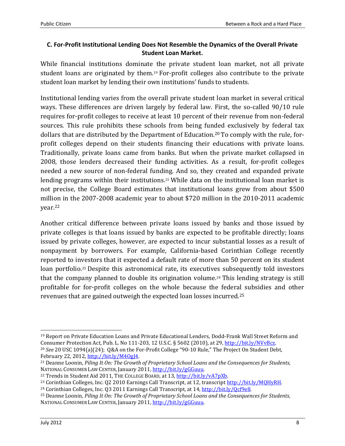#### <span id="page-7-0"></span>**C. For-Profit Institutional Lending Does Not Resemble the Dynamics of the Overall Private Student Loan Market.**

While financial institutions dominate the private student loan market, not all private student loans are originated by them. <sup>19</sup> For-profit colleges also contribute to the private student loan market by lending their own institutions' funds to students.

Institutional lending varies from the overall private student loan market in several critical ways. These differences are driven largely by federal law. First, the so-called 90/10 rule requires for-profit colleges to receive at least 10 percent of their revenue from non-federal sources. This rule prohibits these schools from being funded exclusively by federal tax dollars that are distributed by the Department of Education. <sup>20</sup> To comply with the rule, forprofit colleges depend on their students financing their educations with private loans. Traditionally, private loans came from banks. But when the private market collapsed in 2008, those lenders decreased their funding activities. As a result, for-profit colleges needed a new source of non-federal funding. And so, they created and expanded private lending programs within their institutions.<sup>21</sup> While data on the institutional loan market is not precise, the College Board estimates that institutional loans grew from about \$500 million in the 2007-2008 academic year to about \$720 million in the 2010-2011 academic year. 22

Another critical difference between private loans issued by banks and those issued by private colleges is that loans issued by banks are expected to be profitable directly; loans issued by private colleges, however, are expected to incur substantial losses as a result of nonpayment by borrowers. For example, California-based Corinthian College recently reported to investors that it expected a default rate of more than 50 percent on its student loan portfolio.<sup>23</sup> Despite this astronomical rate, its executives subsequently told investors that the company planned to double its origination volume.<sup>24</sup> This lending strategy is still profitable for for-profit colleges on the whole because the federal subsidies and other revenues that are gained outweigh the expected loan losses incurred.<sup>25</sup>

<sup>19</sup> Report on Private Education Loans and Private Educational Lenders, Dodd-Frank Wall Street Reform and Consumer Protection Act, Pub. L. No 111-203, 12 U.S.C. § 5602 (2010), at 29, [http://bit.ly/NVvBcz.](http://bit.ly/NVvBcz)  <sup>20</sup> *See* 20 USC 1094(a)(24); Q&A on the For-Profit College "90-10 Rule," The Project On Student Debt, February 22, 2012[, http://bit.ly/M4OgJ4.](http://bit.ly/M4OgJ4) 

<sup>21</sup> Deanne Loonin, *Piling It On: The Growth of Proprietary School Loans and the Consequences for Students,*  NATIONAL CONSUMER LAW CENTER, January 2011, [http://bit.ly/gGGuuu.](http://bit.ly/gGGuuu) 

<sup>&</sup>lt;sup>22</sup> Trends in Student Aid 2011, THE COLLEGE BOARD, at 13, http://bit.ly/vA7pXb.

<sup>&</sup>lt;sup>23</sup> Corinthian Colleges, Inc. Q2 2010 Earnings Call Transcript, at 12, transcript http://bit.ly/MQHyRH.

<sup>&</sup>lt;sup>24</sup> Corinthian Colleges, Inc. Q3 2011 Earnings Call Transcript, at 14, http://bit.ly/Ocf9e8.

<sup>25</sup> Deanne Loonin, *Piling It On: The Growth of Proprietary School Loans and the Consequences for Students,*  NATIONAL CONSUMER LAW CENTER, January 2011, http://bit.ly/gGGuuu.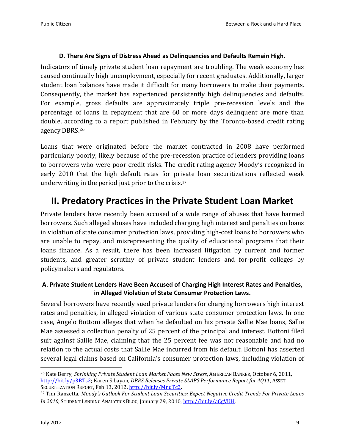#### **D. There Are Signs of Distress Ahead as Delinquencies and Defaults Remain High.**

<span id="page-8-0"></span>Indicators of timely private student loan repayment are troubling. The weak economy has caused continually high unemployment, especially for recent graduates. Additionally, larger student loan balances have made it difficult for many borrowers to make their payments. Consequently, the market has experienced persistently high delinquencies and defaults. For example, gross defaults are approximately triple pre-recession levels and the percentage of loans in repayment that are 60 or more days delinquent are more than double, according to a report published in February by the Toronto-based credit rating agency DBRS.<sup>26</sup>

Loans that were originated before the market contracted in 2008 have performed particularly poorly, likely because of the pre-recession practice of lenders providing loans to borrowers who were poor credit risks. The credit rating agency Moody's recognized in early 2010 that the high default rates for private loan securitizations reflected weak underwriting in the period just prior to the crisis.<sup>27</sup>

## <span id="page-8-1"></span>**II. Predatory Practices in the Private Student Loan Market**

Private lenders have recently been accused of a wide range of abuses that have harmed borrowers. Such alleged abuses have included charging high interest and penalties on loans in violation of state consumer protection laws, providing high-cost loans to borrowers who are unable to repay, and misrepresenting the quality of educational programs that their loans finance. As a result, there has been increased litigation by current and former students, and greater scrutiny of private student lenders and for-profit colleges by policymakers and regulators.

#### <span id="page-8-2"></span>**A. Private Student Lenders Have Been Accused of Charging High Interest Rates and Penalties, in Alleged Violation of State Consumer Protection Laws.**

Several borrowers have recently sued private lenders for charging borrowers high interest rates and penalties, in alleged violation of various state consumer protection laws. In one case, Angelo Bottoni alleges that when he defaulted on his private Sallie Mae loans, Sallie Mae assessed a collection penalty of 25 percent of the principal and interest. Bottoni filed suit against Sallie Mae, claiming that the 25 percent fee was not reasonable and had no relation to the actual costs that Sallie Mae incurred from his default. Bottoni has asserted several legal claims based on California's consumer protection laws, including violation of

<sup>26</sup> Kate Berry, *Shrinking Private Student Loan Market Faces New Stress*, AMERICAN BANKER, October 6, 2011, [http://bit.ly/p3BTs2;](http://bit.ly/p3BTs2) Karen Sibayan, *DBRS Releases Private SLABS Performance Report for 4Q11*, ASSET SECURITIZATION REPORT, Feb 13, 2012[, http://bit.ly/MnuTc2.](http://bit.ly/MnuTc2)

<sup>27</sup> Tim Ranzetta, *Moody's Outlook For Student Loan Securities: Expect Negative Credit Trends For Private Loans In 2010*, STUDENT LENDING ANALYTICS BLOG, January 29, 2010[, http://bit.ly/aCgVUH.](http://bit.ly/aCgVUH)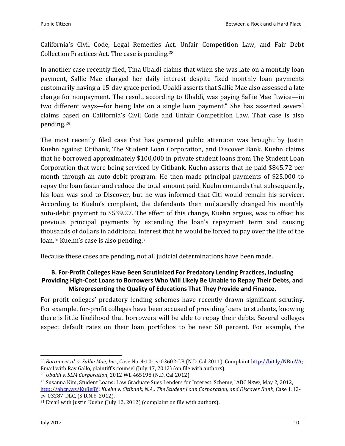California's Civil Code, Legal Remedies Act, Unfair Competition Law, and Fair Debt Collection Practices Act. The case is pending.<sup>28</sup>

In another case recently filed, Tina Ubaldi claims that when she was late on a monthly loan payment, Sallie Mae charged her daily interest despite fixed monthly loan payments customarily having a 15-day grace period. Ubaldi asserts that Sallie Mae also assessed a late charge for nonpayment. The result, according to Ubaldi, was paying Sallie Mae "twice—in two different ways—for being late on a single loan payment." She has asserted several claims based on California's Civil Code and Unfair Competition Law. That case is also pending.<sup>29</sup>

The most recently filed case that has garnered public attention was brought by Justin Kuehn against Citibank, The Student Loan Corporation, and Discover Bank. Kuehn claims that he borrowed approximately \$100,000 in private student loans from The Student Loan Corporation that were being serviced by Citibank. Kuehn asserts that he paid \$845.72 per month through an auto-debit program. He then made principal payments of \$25,000 to repay the loan faster and reduce the total amount paid. Kuehn contends that subsequently, his loan was sold to Discover, but he was informed that Citi would remain his servicer. According to Kuehn's complaint, the defendants then unilaterally changed his monthly auto-debit payment to \$539.27. The effect of this change, Kuehn argues, was to offset his previous principal payments by extending the loan's repayment term and causing thousands of dollars in additional interest that he would be forced to pay over the life of the loan.<sup>30</sup> Kuehn's case is also pending.<sup>31</sup>

Because these cases are pending, not all judicial determinations have been made.

#### <span id="page-9-0"></span>**B. For-Profit Colleges Have Been Scrutinized For Predatory Lending Practices, Including Providing High-Cost Loans to Borrowers Who Will Likely Be Unable to Repay Their Debts, and Misrepresenting the Quality of Educations That They Provide and Finance.**

For-profit colleges' predatory lending schemes have recently drawn significant scrutiny. For example, for-profit colleges have been accused of providing loans to students, knowing there is little likelihood that borrowers will be able to repay their debts. Several colleges expect default rates on their loan portfolios to be near 50 percent. For example, the

<sup>28</sup> *Bottoni et al. v. Sallie Mae, Inc.*, Case No. 4:10-cv-03602-LB (N.D. Cal 2011). Complain[t http://bit.ly/NBinVA;](http://bit.ly/NBinVA) Email with Ray Gallo, plaintiff's counsel (July 17, 2012) (on file with authors).

<sup>29</sup> *Ubaldi v. SLM Corporation*, 2012 WL 465198 (N.D. Cal 2012).

<sup>30</sup> Susanna Kim, Student Loans: Law Graduate Sues Lenders for Interest 'Scheme,' ABC NEWS, May 2, 2012, [http://abcn.ws/Ku8e8Y;](http://abcn.ws/Ku8e8Y) *Kuehn v. Citibank, N.A., The Student Loan Corporation, and Discover Bank*, Case 1:12 cv-03287-DLC, (S.D.N.Y. 2012).

<sup>31</sup> Email with Justin Kuehn (July 12, 2012) (complaint on file with authors).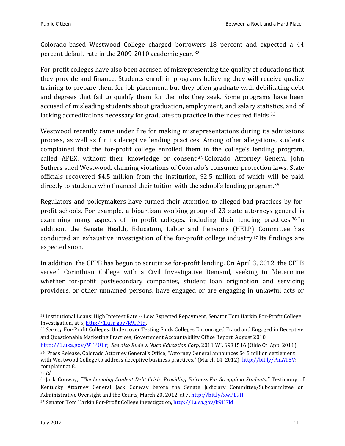Colorado-based Westwood College charged borrowers 18 percent and expected a 44 percent default rate in the 2009-2010 academic year. 32

For-profit colleges have also been accused of misrepresenting the quality of educations that they provide and finance. Students enroll in programs believing they will receive quality training to prepare them for job placement, but they often graduate with debilitating debt and degrees that fail to qualify them for the jobs they seek. Some programs have been accused of misleading students about graduation, employment, and salary statistics, and of lacking accreditations necessary for graduates to practice in their desired fields.<sup>33</sup>

Westwood recently came under fire for making misrepresentations during its admissions process, as well as for its deceptive lending practices. Among other allegations, students complained that the for-profit college enrolled them in the college's lending program, called APEX, without their knowledge or consent.<sup>34</sup> Colorado Attorney General John Suthers sued Westwood, claiming violations of Colorado's consumer protection laws. State officials recovered \$4.5 million from the institution, \$2.5 million of which will be paid directly to students who financed their tuition with the school's lending program.<sup>35</sup>

Regulators and policymakers have turned their attention to alleged bad practices by forprofit schools. For example, a bipartisan working group of 23 state attorneys general is examining many aspects of for-profit colleges, including their lending practices.<sup>36</sup> In addition, the Senate Health, Education, Labor and Pensions (HELP) Committee has conducted an exhaustive investigation of the for-profit college industry.<sup>37</sup> Its findings are expected soon.

In addition, the CFPB has begun to scrutinize for-profit lending. On April 3, 2012, the CFPB served Corinthian College with a Civil Investigative Demand, seeking to "determine whether for-profit postsecondary companies, student loan origination and servicing providers, or other unnamed persons, have engaged or are engaging in unlawful acts or

[http://1.usa.gov/9TP0Tr;](http://1.usa.gov/9TP0Tr) *See also Rude v. Nuco Education Corp*, 2011 WL 6931516 (Ohio Ct. App. 2011).

<sup>32</sup> Institutional Loans: High Interest Rate ‐‐ Low Expected Repayment, Senator Tom Harkin For-Profit College Investigation, at 5[, http://1.usa.gov/k9H7ld.](http://1.usa.gov/k9H7ld) 

<sup>33</sup> *See e.g.* For-Profit Colleges: Undercover Testing Finds Colleges Encouraged Fraud and Engaged in Deceptive and Questionable Marketing Practices, Government Accountability Office Report, August 2010,

<sup>34</sup> Press Release, Colorado Attorney General's Office, "Attorney General announces \$4.5 million settlement with Westwood College to address deceptive business practices," (March 14, 2012), [http://bit.ly/PmAT5V;](http://bit.ly/PmAT5V) complaint at 8.

<sup>35</sup> *Id*.

<sup>36</sup> Jack Conway, *"The Looming Student Debt Crisis: Providing Fairness For Struggling Students,"* Testimony of Kentucky Attorney General Jack Conway before the Senate Judiciary Committee/Subcommittee on Administrative Oversight and the Courts, March 20, 2012, at 7, [http://bit.ly/xwPL9H.](http://bit.ly/xwPL9H)

<sup>37</sup> Senator Tom Harkin For-Profit College Investigation[, http://1.usa.gov/k9H7ld.](http://1.usa.gov/k9H7ld)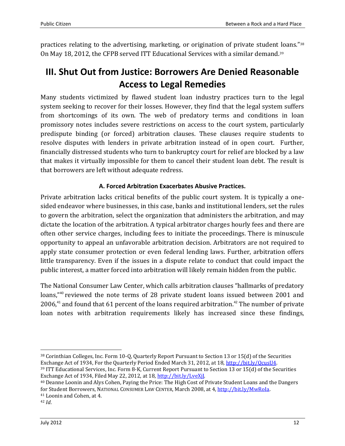practices relating to the advertising, marketing, or origination of private student loans."<sup>38</sup> On May 18, 2012, the CFPB served ITT Educational Services with a similar demand.<sup>39</sup>

# <span id="page-11-0"></span>**III. Shut Out from Justice: Borrowers Are Denied Reasonable Access to Legal Remedies**

Many students victimized by flawed student loan industry practices turn to the legal system seeking to recover for their losses. However, they find that the legal system suffers from shortcomings of its own. The web of predatory terms and conditions in loan promissory notes includes severe restrictions on access to the court system, particularly predispute binding (or forced) arbitration clauses. These clauses require students to resolve disputes with lenders in private arbitration instead of in open court. Further, financially distressed students who turn to bankruptcy court for relief are blocked by a law that makes it virtually impossible for them to cancel their student loan debt. The result is that borrowers are left without adequate redress.

### **A. Forced Arbitration Exacerbates Abusive Practices.**

<span id="page-11-1"></span>Private arbitration lacks critical benefits of the public court system. It is typically a onesided endeavor where businesses, in this case, banks and institutional lenders, set the rules to govern the arbitration, select the organization that administers the arbitration, and may dictate the location of the arbitration. A typical arbitrator charges hourly fees and there are often other service charges, including fees to initiate the proceedings. There is minuscule opportunity to appeal an unfavorable arbitration decision. Arbitrators are not required to apply state consumer protection or even federal lending laws. Further, arbitration offers little transparency. Even if the issues in a dispute relate to conduct that could impact the public interest, a matter forced into arbitration will likely remain hidden from the public.

The National Consumer Law Center, which calls arbitration clauses "hallmarks of predatory loans,"<sup>40</sup> reviewed the note terms of 28 private student loans issued between 2001 and 2006, $41$  and found that 61 percent of the loans required arbitration. $42$  The number of private loan notes with arbitration requirements likely has increased since these findings,

<sup>41</sup> Loonin and Cohen, at 4.

<sup>42</sup> *Id*.

<sup>38</sup> Corinthian Colleges, Inc. Form 10-Q, Quarterly Report Pursuant to Section 13 or 15(d) of the Securities Exchange Act of 1934, For the Quarterly Period Ended March 31, 2012, at 18, [http://bit.ly/QcusU4.](http://bit.ly/QcusU4)

<sup>39</sup> ITT Educational Services, Inc. Form 8-K, Current Report Pursuant to Section 13 or 15(d) of the Securities Exchange Act of 1934, Filed May 22, 2012, at 18, [http://bit.ly/LveXjJ.](http://bit.ly/LveXjJ)

<sup>40</sup> Deanne Loonin and Alys Cohen, Paying the Price: The High Cost of Private Student Loans and the Dangers for Student Borrowers, NATIONAL CONSUMER LAW CENTER, March 2008, at 4[, http://bit.ly/MwRoIa.](http://bit.ly/MwRoIa)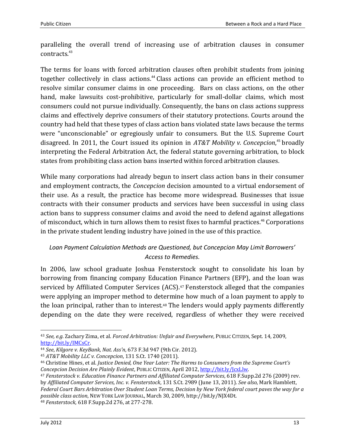paralleling the overall trend of increasing use of arbitration clauses in consumer contracts.<sup>43</sup>

The terms for loans with forced arbitration clauses often prohibit students from joining together collectively in class actions. <sup>44</sup> Class actions can provide an efficient method to resolve similar consumer claims in one proceeding. Bars on class actions, on the other hand, make lawsuits cost-prohibitive, particularly for small-dollar claims, which most consumers could not pursue individually. Consequently, the bans on class actions suppress claims and effectively deprive consumers of their statutory protections. Courts around the country had held that these types of class action bans violated state laws because the terms were "unconscionable" or egregiously unfair to consumers. But the U.S. Supreme Court disagreed. In 2011, the Court issued its opinion in *AT&T Mobility v. Concepcion*, <sup>45</sup> broadly interpreting the Federal Arbitration Act, the federal statute governing arbitration, to block states from prohibiting class action bans inserted within forced arbitration clauses.

While many corporations had already begun to insert class action bans in their consumer and employment contracts, the *Concepcion* decision amounted to a virtual endorsement of their use. As a result, the practice has become more widespread. Businesses that issue contracts with their consumer products and services have been successful in using class action bans to suppress consumer claims and avoid the need to defend against allegations of misconduct, which in turn allows them to resist fixes to harmful practices.<sup>46</sup> Corporations in the private student lending industry have joined in the use of this practice.

## *Loan Payment Calculation Methods are Questioned, but Concepcion May Limit Borrowers' Access to Remedies.*

In 2006, law school graduate Joshua Fensterstock sought to consolidate his loan by borrowing from financing company Education Finance Partners (EFP), and the loan was serviced by Affiliated Computer Services (ACS).<sup>47</sup> Fensterstock alleged that the companies were applying an improper method to determine how much of a loan payment to apply to the loan principal, rather than to interest.<sup>48</sup> The lenders would apply payments differently depending on the date they were received, regardless of whether they were received

<sup>43</sup> *See, e.g*. Zachary Zima, et al. *Forced Arbitration: Unfair and Everywhere*, PUBLIC CITIZEN, Sept. 14, 2009, [http://bit.ly/IMCsCr.](http://bit.ly/IMCsCr) 

<sup>44</sup> *See*, *Kilgore v. KeyBank, Nat. Ass'n*, 673 F.3d 947 (9th Cir. 2012).

<sup>45</sup> *AT&T Mobility LLC v. Concepcion*, 131 S.Ct. 1740 (2011).

<sup>46</sup> Christine Hines, et al. *Justice Denied, One Year Later: The Harms to Consumers from the Supreme Court's Concepcion Decision Are Plainly Evident*, PUBLIC CITIZEN, April 2012[, http://bit.ly/JcxLlw.](http://bit.ly/JcxLlw) 

<sup>47</sup> *Fensterstock v. Education Finance Partners and Affiliated Computer Services*, 618 F.Supp.2d 276 (2009) rev. by *Affiliated Computer Services, Inc. v. Fensterstock*, 131 S.Ct. 2989 (June 13, 2011). *See also*, Mark Hamblett, *Federal Court Bars Arbitration Over Student Loan Terms, Decision by New York federal court paves the way for a possible class action*, NEW YORK LAW JOURNAL, March 30, 2009, http://bit.ly/NJX4Dt. <sup>48</sup> *Fensterstock*, 618 F.Supp.2d 276, at 277-278.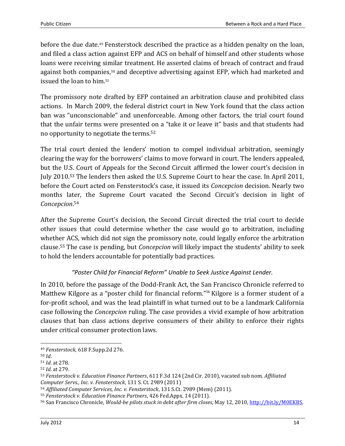before the due date.<sup>49</sup> Fensterstock described the practice as a hidden penalty on the loan, and filed a class action against EFP and ACS on behalf of himself and other students whose loans were receiving similar treatment. He asserted claims of breach of contract and fraud against both companies,<sup>50</sup> and deceptive advertising against EFP, which had marketed and issued the loan to him.<sup>51</sup>

The promissory note drafted by EFP contained an arbitration clause and prohibited class actions. In March 2009, the federal district court in New York found that the class action ban was "unconscionable" and unenforceable. Among other factors, the trial court found that the unfair terms were presented on a "take it or leave it" basis and that students had no opportunity to negotiate the terms.<sup>52</sup>

The trial court denied the lenders' motion to compel individual arbitration, seemingly clearing the way for the borrowers' claims to move forward in court. The lenders appealed, but the U.S. Court of Appeals for the Second Circuit affirmed the lower court's decision in July 2010.<sup>53</sup> The lenders then asked the U.S. Supreme Court to hear the case. In April 2011, before the Court acted on Fensterstock's case, it issued its *Concepcion* decision. Nearly two months later, the Supreme Court vacated the Second Circuit's decision in light of *Concepcion*. 54

After the Supreme Court's decision, the Second Circuit directed the trial court to decide other issues that could determine whether the case would go to arbitration, including whether ACS, which did not sign the promissory note, could legally enforce the arbitration clause.<sup>55</sup> The case is pending, but *Concepcion* will likely impact the students' ability to seek to hold the lenders accountable for potentially bad practices.

## *"Poster Child for Financial Reform" Unable to Seek Justice Against Lender.*

In 2010, before the passage of the Dodd-Frank Act, the San Francisco Chronicle referred to Matthew Kilgore as a "poster child for financial reform."<sup>56</sup> Kilgore is a former student of a for-profit school, and was the lead plaintiff in what turned out to be a landmark California case following the *Concepcion* ruling. The case provides a vivid example of how arbitration clauses that ban class actions deprive consumers of their ability to enforce their rights under critical consumer protection laws.

 $\overline{\phantom{0}}$ <sup>49</sup> *Fensterstock*, 618 F.Supp.2d 276.

<sup>50</sup> *Id*.

<sup>51</sup> *Id*. at 278.

<sup>52</sup> *Id*. at 279.

<sup>53</sup> *Fensterstock v. Education Finance Partners*, 611 F.3d 124 (2nd Cir. 2010), vacated sub nom. *Affiliated Computer Servs., Inc. v. Fensterstock*, 131 S. Ct. 2989 (2011)

<sup>54</sup> *Affiliated Computer Services, Inc. v. Fensterstock*, 131 S.Ct. 2989 (Mem) (2011).

<sup>55</sup> *Fensterstock v. Education Finance Partners*, 426 Fed.Appx. 14 (2011).

<sup>56</sup> San Francisco Chronicle, *Would-be pilots stuck in debt after firm closes*, May 12, 2010, [http://bit.ly/M0EKBS.](http://bit.ly/M0EKBS)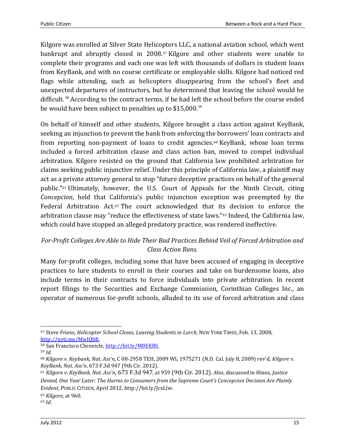Kilgore was enrolled at Silver State Helicopters LLC, a national aviation school, which went bankrupt and abruptly closed in 2008.<sup>57</sup> Kilgore and other students were unable to complete their programs and each one was left with thousands of dollars in student loans from KeyBank, and with no course certificate or employable skills. Kilgore had noticed red flags while attending, such as helicopters disappearing from the school's fleet and unexpected departures of instructors, but he determined that leaving the school would be difficult.<sup>58</sup> According to the contract terms, if he had left the school before the course ended he would have been subject to penalties up to \$15,000.<sup>59</sup>

On behalf of himself and other students, Kilgore brought a class action against KeyBank, seeking an injunction to prevent the bank from enforcing the borrowers' loan contracts and from reporting non-payment of loans to credit agencies.<sup>60</sup> KeyBank, whose loan terms included a forced arbitration clause and class action ban, moved to compel individual arbitration. Kilgore resisted on the ground that California law prohibited arbitration for claims seeking public injunctive relief. Under this principle of California law, a plaintiff may act as a private attorney general to stop "future deceptive practices on behalf of the general public."<sup>61</sup> Ultimately, however, the U.S. Court of Appeals for the Ninth Circuit, citing *Concepcion*, held that California's public injunction exception was preempted by the Federal Arbitration Act.<sup>62</sup> The court acknowledged that its decision to enforce the arbitration clause may "reduce the effectiveness of state laws."<sup>63</sup> Indeed, the California law, which could have stopped an alleged predatory practice, was rendered ineffective.

## *For-Profit Colleges Are Able to Hide Their Bad Practices Behind Veil of Forced Arbitration and Class Action Bans.*

Many for-profit colleges, including some that have been accused of engaging in deceptive practices to lure students to enroll in their courses and take on burdensome loans, also include terms in their contracts to force individuals into private arbitration. In recent report filings to the Securities and Exchange Commission, Corinthian Colleges Inc., an operator of numerous for-profit schools, alluded to its use of forced arbitration and class

 $\overline{\phantom{0}}$ <sup>57</sup> Steve Friess, *Helicopter School Closes, Leaving Students in Lurch*, NEW YORK TIMES, Feb. 13, 2008, [http://nyti.ms/MwJQbR.](http://nyti.ms/MwJQbR) 

<sup>58</sup> San Francisco Chronicle[, http://bit.ly/M0EKBS.](http://bit.ly/M0EKBS)

<sup>59</sup> *Id*.

<sup>60</sup> *Kilgore v. Keybank, Nat. Ass'n*, C 08-2958 TEH, 2009 WL 1975271 (N.D. Cal. July 8, 2009) rev'd, *Kilgore v. KeyBank, Nat. Ass'n*, 673 F.3d 947 (9th Cir. 2012).

<sup>61</sup> *Kilgore v. KeyBank, Nat. Ass'n*, 673 F.3d 947, at 959 (9th Cir. 2012). *Also*, discussed in Hines, *Justice Denied, One Year Later: The Harms to Consumers from the Supreme Court's Concepcion Decision Are Plainly Evident*, PUBLIC CITIZEN, April 2012, http://bit.ly/JcxLlw.

<sup>62</sup> *Kilgore*, at 960.

<sup>63</sup> *Id*.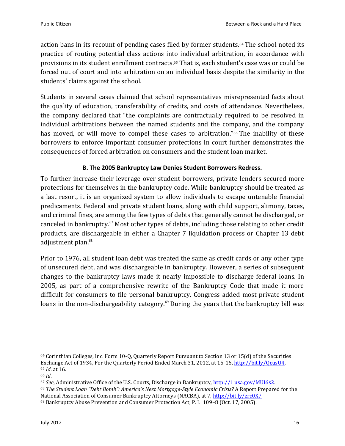action bans in its recount of pending cases filed by former students.<sup>64</sup> The school noted its practice of routing potential class actions into individual arbitration, in accordance with provisions in its student enrollment contracts.<sup>65</sup> That is, each student's case was or could be forced out of court and into arbitration on an individual basis despite the similarity in the students' claims against the school.

Students in several cases claimed that school representatives misrepresented facts about the quality of education, transferability of credits, and costs of attendance. Nevertheless, the company declared that "the complaints are contractually required to be resolved in individual arbitrations between the named students and the company, and the company has moved, or will move to compel these cases to arbitration."<sup>66</sup> The inability of these borrowers to enforce important consumer protections in court further demonstrates the consequences of forced arbitration on consumers and the student loan market.

#### **B. The 2005 Bankruptcy Law Denies Student Borrowers Redress.**

<span id="page-15-0"></span>To further increase their leverage over student borrowers, private lenders secured more protections for themselves in the bankruptcy code. While bankruptcy should be treated as a last resort, it is an organized system to allow individuals to escape untenable financial predicaments. Federal and private student loans, along with child support, alimony, taxes, and criminal fines, are among the few types of debts that generally cannot be discharged, or canceled in bankruptcy.<sup>67</sup> Most other types of debts, including those relating to other credit products, are dischargeable in either a Chapter 7 liquidation process or Chapter 13 debt adjustment plan.<sup>68</sup>

Prior to 1976, all student loan debt was treated the same as credit cards or any other type of unsecured debt, and was dischargeable in bankruptcy. However, a series of subsequent changes to the bankruptcy laws made it nearly impossible to discharge federal loans. In 2005, as part of a comprehensive rewrite of the Bankruptcy Code that made it more difficult for consumers to file personal bankruptcy, Congress added most private student loans in the non-dischargeability category.<sup>69</sup> During the years that the bankruptcy bill was

<sup>64</sup> Corinthian Colleges, Inc. Form 10-Q, Quarterly Report Pursuant to Section 13 or 15(d) of the Securities Exchange Act of 1934, For the Quarterly Period Ended March 31, 2012, at 15-16, [http://bit.ly/QcusU4.](http://bit.ly/QcusU4) <sup>65</sup> *Id*. at 16.

<sup>66</sup> *Id*.

<sup>67</sup> *See*, Administrative Office of the U.S. Courts, Discharge in Bankruptcy, [http://1.usa.gov/MUI6s2.](http://1.usa.gov/MUI6s2) 

<sup>68</sup> *The Student Loan "Debt Bomb": America's Next Mortgage-Style Economic Crisis?* A Report Prepared for the National Association of Consumer Bankruptcy Attorneys (NACBA), at 7, http://bit.ly/zrc0X7.

<sup>69</sup> Bankruptcy Abuse Prevention and Consumer Protection Act, P. L. 109–8 (Oct. 17, 2005).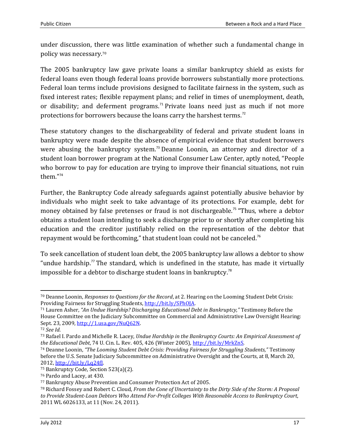under discussion, there was little examination of whether such a fundamental change in policy was necessary.<sup>70</sup>

The 2005 bankruptcy law gave private loans a similar bankruptcy shield as exists for federal loans even though federal loans provide borrowers substantially more protections. Federal loan terms include provisions designed to facilitate fairness in the system, such as fixed interest rates; flexible repayment plans; and relief in times of unemployment, death, or disability; and deferment programs.<sup>71</sup> Private loans need just as much if not more protections for borrowers because the loans carry the harshest terms.<sup>72</sup>

These statutory changes to the dischargeability of federal and private student loans in bankruptcy were made despite the absence of empirical evidence that student borrowers were abusing the bankruptcy system.<sup>73</sup> Deanne Loonin, an attorney and director of a student loan borrower program at the National Consumer Law Center, aptly noted, "People who borrow to pay for education are trying to improve their financial situations, not ruin them."<sup>74</sup>

Further, the Bankruptcy Code already safeguards against potentially abusive behavior by individuals who might seek to take advantage of its protections. For example, debt for money obtained by false pretenses or fraud is not dischargeable.<sup>75</sup> "Thus, where a debtor obtains a student loan intending to seek a discharge prior to or shortly after completing his education and the creditor justifiably relied on the representation of the debtor that repayment would be forthcoming," that student loan could not be canceled.<sup>76</sup>

To seek cancellation of student loan debt, the 2005 bankruptcy law allows a debtor to show "undue hardship. $<sup>77</sup>$  The standard, which is undefined in the statute, has made it virtually</sup> impossible for a debtor to discharge student loans in bankruptcy.<sup>78</sup>

<sup>70</sup> Deanne Loonin, *Responses to Questions for the Record*, at 2. Hearing on the Looming Student Debt Crisis: Providing Fairness for Struggling Students, http://bit.ly/SPhOJA.

<sup>71</sup> Lauren Asher, *"An Undue Hardship? Discharging Educational Debt in Bankruptcy,"* Testimony Before the House Committee on the Judiciary Subcommittee on Commercial and Administrative Law Oversight Hearing: Sept. 23, 2009, [http://1.usa.gov/NuQ62N.](http://1.usa.gov/NuQ62N) 

<sup>72</sup> *See Id*.

<sup>73</sup> Rafael I. Pardo and Michelle R. Lacey, *Undue Hardship in the Bankruptcy Courts: An Empirical Assessment of the Educational Debt*, 74 U. Cin. L. Rev. 405, 426 (Winter 2005), [http://bit.ly/MrkZnS.](http://bit.ly/MrkZnS) 

<sup>74</sup> Deanne Loonin, *"The Looming Student Debt Crisis: Providing Fairness for Struggling Students,"* Testimony before the U.S. Senate Judiciary Subcommittee on Administrative Oversight and the Courts, at 8, March 20, 2012[, http://bit.ly/Lq24fJ.](http://bit.ly/Lq24fJ)

<sup>75</sup> Bankruptcy Code, Section 523(a)(2).

<sup>76</sup> Pardo and Lacey, at 430.

<sup>77</sup> Bankruptcy Abuse Prevention and Consumer Protection Act of 2005.

<sup>78</sup> Richard Fossey and Robert C. Cloud, *From the Cone of Uncertainty to the Dirty Side of the Storm: A Proposal to Provide Student-Loan Debtors Who Attend For-Profit Colleges With Reasonable Access to Bankruptcy Court*, 2011 WL 6026133, at 11 (Nov. 24, 2011).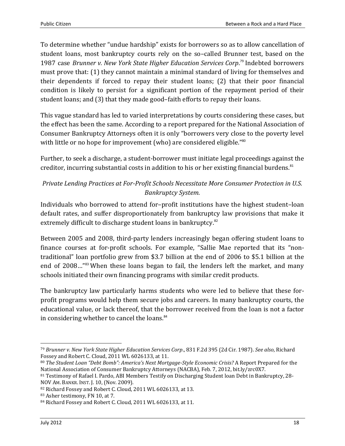To determine whether "undue hardship" exists for borrowers so as to allow cancellation of student loans, most bankruptcy courts rely on the so–called Brunner test, based on the 1987 case *Brunner v. New York State Higher Education Services Corp*. <sup>79</sup> Indebted borrowers must prove that: (1) they cannot maintain a minimal standard of living for themselves and their dependents if forced to repay their student loans; (2) that their poor financial condition is likely to persist for a significant portion of the repayment period of their student loans; and (3) that they made good–faith efforts to repay their loans.

This vague standard has led to varied interpretations by courts considering these cases, but the effect has been the same. According to a report prepared for the National Association of Consumer Bankruptcy Attorneys often it is only "borrowers very close to the poverty level with little or no hope for improvement (who) are considered eligible."<sup>80</sup>

Further, to seek a discharge, a student-borrower must initiate legal proceedings against the creditor, incurring substantial costs in addition to his or her existing financial burdens.<sup>81</sup>

## *Private Lending Practices at For-Profit Schools Necessitate More Consumer Protection in U.S. Bankruptcy System.*

Individuals who borrowed to attend for–profit institutions have the highest student–loan default rates, and suffer disproportionately from bankruptcy law provisions that make it extremely difficult to discharge student loans in bankruptcy.<sup>82</sup>

Between 2005 and 2008, third-party lenders increasingly began offering student loans to finance courses at for-profit schools. For example, "Sallie Mae reported that its "nontraditional" loan portfolio grew from \$3.7 billion at the end of 2006 to \$5.1 billion at the end of 2008…"<sup>83</sup> When these loans began to fail, the lenders left the market, and many schools initiated their own financing programs with similar credit products.

The bankruptcy law particularly harms students who were led to believe that these forprofit programs would help them secure jobs and careers. In many bankruptcy courts, the educational value, or lack thereof, that the borrower received from the loan is not a factor in considering whether to cancel the loans.<sup>84</sup>

<sup>79</sup> *Brunner v. New York State Higher Education Services Corp*., 831 F.2d 395 (2d Cir. 1987). *See also*, Richard Fossey and Robert C. Cloud, 2011 WL 6026133, at 11.

<sup>80</sup> *The Student Loan "Debt Bomb": America's Next Mortgage-Style Economic Crisis?* A Report Prepared for the National Association of Consumer Bankruptcy Attorneys (NACBA), Feb. 7, 2012, bit.ly/zrc0X7.

<sup>81</sup> Testimony of Rafael I. Pardo, ABI Members Testify on Discharging Student loan Debt in Bankruptcy, 28-NOV AM. BANKR. INST. J. 10, (Nov. 2009).

<sup>82</sup> Richard Fossey and Robert C. Cloud, 2011 WL 6026133, at 13.

<sup>83</sup> Asher testimony, FN 10, at 7.

<sup>84</sup> Richard Fossey and Robert C. Cloud, 2011 WL 6026133, at 11.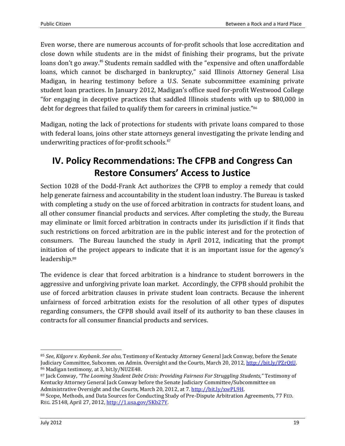Even worse, there are numerous accounts of for-profit schools that lose accreditation and close down while students are in the midst of finishing their programs, but the private loans don't go away.<sup>85</sup> Students remain saddled with the "expensive and often unaffordable loans, which cannot be discharged in bankruptcy," said Illinois Attorney General Lisa Madigan, in hearing testimony before a U.S. Senate subcommittee examining private student loan practices. In January 2012, Madigan's office sued for-profit Westwood College "for engaging in deceptive practices that saddled Illinois students with up to \$80,000 in debt for degrees that failed to qualify them for careers in criminal justice."<sup>86</sup>

Madigan, noting the lack of protections for students with private loans compared to those with federal loans, joins other state attorneys general investigating the private lending and underwriting practices of for-profit schools.<sup>87</sup>

# <span id="page-18-0"></span>**IV. Policy Recommendations: The CFPB and Congress Can Restore Consumers' Access to Justice**

Section 1028 of the Dodd-Frank Act authorizes the CFPB to employ a remedy that could help generate fairness and accountability in the student loan industry. The Bureau is tasked with completing a study on the use of forced arbitration in contracts for student loans, and all other consumer financial products and services. After completing the study, the Bureau may eliminate or limit forced arbitration in contracts under its jurisdiction if it finds that such restrictions on forced arbitration are in the public interest and for the protection of consumers. The Bureau launched the study in April 2012, indicating that the prompt initiation of the project appears to indicate that it is an important issue for the agency's leadership. 88

The evidence is clear that forced arbitration is a hindrance to student borrowers in the aggressive and unforgiving private loan market. Accordingly, the CFPB should prohibit the use of forced arbitration clauses in private student loan contracts. Because the inherent unfairness of forced arbitration exists for the resolution of all other types of disputes regarding consumers, the CFPB should avail itself of its authority to ban these clauses in contracts for all consumer financial products and services.

<sup>85</sup> *See*, *Kilgore v. Keybank*. *See also*, Testimony of Kentucky Attorney General Jack Conway, before the Senate Judiciary Committee, Subcomm. on Admin. Oversight and the Courts, March 20, 2012, [http://bit.ly/PZrQtU.](http://bit.ly/PZrQtU)  <sup>86</sup> Madigan testimony, at 3, bit.ly/NU2E48.

<sup>87</sup> Jack Conway, *"The Looming Student Debt Crisis: Providing Fairness For Struggling Students,"* Testimony of Kentucky Attorney General Jack Conway before the Senate Judiciary Committee/Subcommittee on Administrative Oversight and the Courts, March 20, 2012, at 7. [http://bit.ly/xwPL9H.](http://bit.ly/xwPL9H) 

<sup>88</sup> Scope, Methods, and Data Sources for Conducting Study of Pre-Dispute Arbitration Agreements, 77 FED. REG. 25148, April 27, 2012, [http://1.usa.gov/SKb27Y.](http://1.usa.gov/SKb27Y)